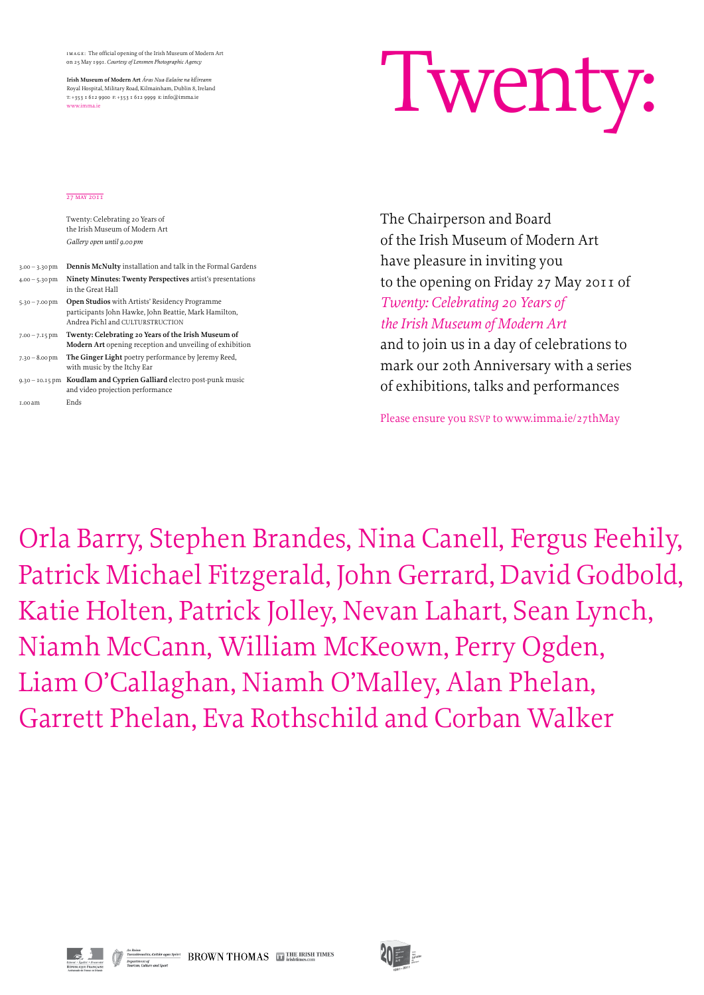

## 27 MAY 2011

The Chairperson and Board of the Irish Museum of Modern Art have pleasure in inviting you to the opening on Friday 27 May 2011 of *Twenty: Celebrating 20 Years of the Irish Museum of Modern Art* 

and to join us in a day of celebrations to mark our 20th Anniversary with a series of exhibitions, talks and performances

Please ensure you RSVP to www.imma.ie/27thMay

Orla Barry, Stephen Brandes, Nina Canell, Fergus Feehily, Patrick Michael Fitzgerald, John Gerrard, David Godbold, Katie Holten, Patrick Jolley, Nevan Lahart, Sean Lynch, Niamh McCann, William McKeown, Perry Ogden, Liam O'Callaghan, Niamh O'Malley, Alan Phelan, Garrett Phelan, Eva Rothschild and Corban Walker



 $\bigotimes \bigotimes \text{NMS} \atop \text{Dopartment of}\atop \text{Tourism, Culture and Sport} \text{Cylotert} \atop \text{Tourism, Culture and Sport} \text{BROWN THOMAS} \quad \text{LTP} \text{THE IRISH TIMES}$ 



Twenty: Celebrating 20 Years of the Irish Museum of Modern Art *Gallery open until 9.00 pm*

| $3.00 - 3.30$ pm | <b>Dennis McNulty</b> installation and talk in the Formal Gardens                                                                                  |
|------------------|----------------------------------------------------------------------------------------------------------------------------------------------------|
| $4.00 - 5.30$ pm | Ninety Minutes: Twenty Perspectives artist's presentations<br>in the Great Hall                                                                    |
| $5.30 - 7.00$ pm | <b>Open Studios</b> with Artists' Residency Programme<br>participants John Hawke, John Beattie, Mark Hamilton,<br>Andrea Pichl and CULTURSTRUCTION |
| $7.00 - 7.15$ pm | Twenty: Celebrating 20 Years of the Irish Museum of<br><b>Modern Art</b> opening reception and unveiling of exhibition                             |
| $7.30 - 8.00$ pm | The Ginger Light poetry performance by Jeremy Reed,<br>with music by the Itchy Ear                                                                 |
|                  | $9.30 - 10.15$ pm Koudlam and Cyprien Galliard electro post-punk music<br>and video projection performance                                         |
| 1.00 am          | Ends                                                                                                                                               |

image: The official opening of the Irish Museum of Modern Art on 25 May 1991. *Courtesy of Lensmen Photographic Agency*

**Irish Museum of Modern Art** *Áras Nua-Ealaíne na hÉireann* Royal Hospital, Military Road, Kilmainham, Dublin 8, Ireland t: +353 1 612 9900 f: +353 1 612 9999 e: info@imma.ie www.imma.ie